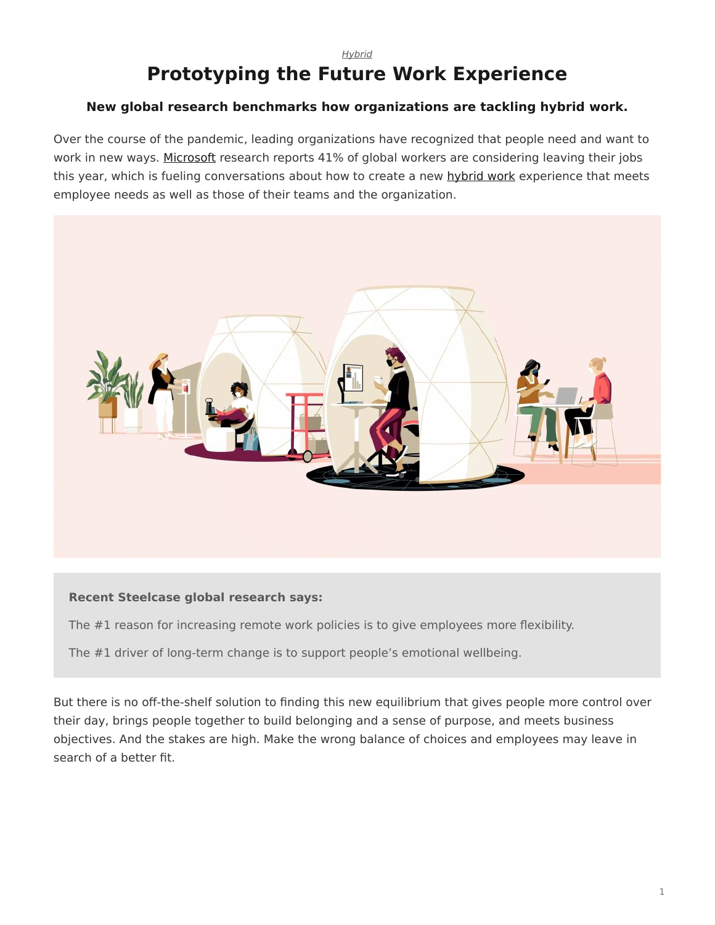#### *[Hybrid](https://www.steelcase.com/asia-en/research/topics/hybrid/)*

# **Prototyping the Future Work Experience**

### **New global research benchmarks how organizations are tackling hybrid work.**

Over the course of the pandemic, leading organizations have recognized that people need and want to work in new ways. [Microsoft](https://www.microsoft.com/en-us/worklab/work-trend-index/hybrid-work) research reports 41% of global workers are considering leaving their jobs this year, which is fueling conversations about how to create a new [hybrid work](https://www.steelcase.com/research/topics/hybrid-work/) experience that meets employee needs as well as those of their teams and the organization.



### **Recent Steelcase global research says:**

The #1 reason for increasing remote work policies is to give employees more flexibility.

The #1 driver of long-term change is to support people's emotional wellbeing.

But there is no off-the-shelf solution to finding this new equilibrium that gives people more control over their day, brings people together to build belonging and a sense of purpose, and meets business objectives. And the stakes are high. Make the wrong balance of choices and employees may leave in search of a better fit.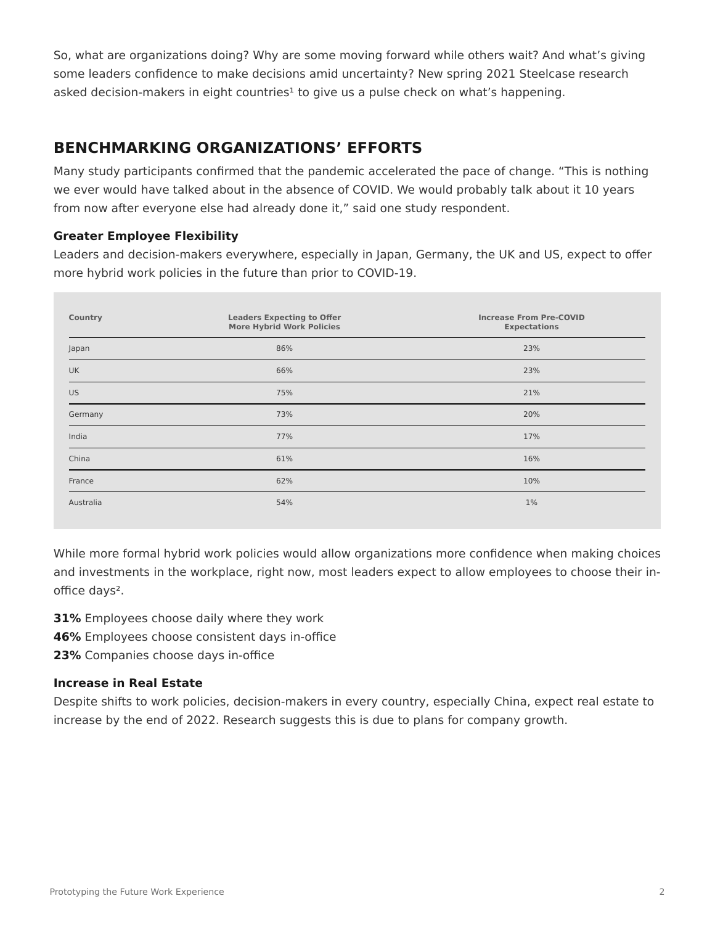So, what are organizations doing? Why are some moving forward while others wait? And what's giving some leaders confidence to make decisions amid uncertainty? New spring 2021 Steelcase research asked decision-makers in eight countries<sup>1</sup> to give us a pulse check on what's happening.

# **BENCHMARKING ORGANIZATIONS' EFFORTS**

Many study participants confirmed that the pandemic accelerated the pace of change. "This is nothing we ever would have talked about in the absence of COVID. We would probably talk about it 10 years from now after everyone else had already done it," said one study respondent.

### **Greater Employee Flexibility**

Leaders and decision-makers everywhere, especially in Japan, Germany, the UK and US, expect to offer more hybrid work policies in the future than prior to COVID-19.

| Country   | <b>Leaders Expecting to Offer</b><br><b>More Hybrid Work Policies</b> | <b>Increase From Pre-COVID</b><br><b>Expectations</b> |
|-----------|-----------------------------------------------------------------------|-------------------------------------------------------|
| Japan     | 86%                                                                   | 23%                                                   |
| <b>UK</b> | 66%                                                                   | 23%                                                   |
| <b>US</b> | 75%                                                                   | 21%                                                   |
| Germany   | 73%                                                                   | 20%                                                   |
| India     | 77%                                                                   | 17%                                                   |
| China     | 61%                                                                   | 16%                                                   |
| France    | 62%                                                                   | 10%                                                   |
| Australia | 54%                                                                   | $1\%$                                                 |

While more formal hybrid work policies would allow organizations more confidence when making choices and investments in the workplace, right now, most leaders expect to allow employees to choose their inoffice days².

**31%** Employees choose daily where they work

**46%** Employees choose consistent days in-office

**23%** Companies choose days in-office

### **Increase in Real Estate**

Despite shifts to work policies, decision-makers in every country, especially China, expect real estate to increase by the end of 2022. Research suggests this is due to plans for company growth.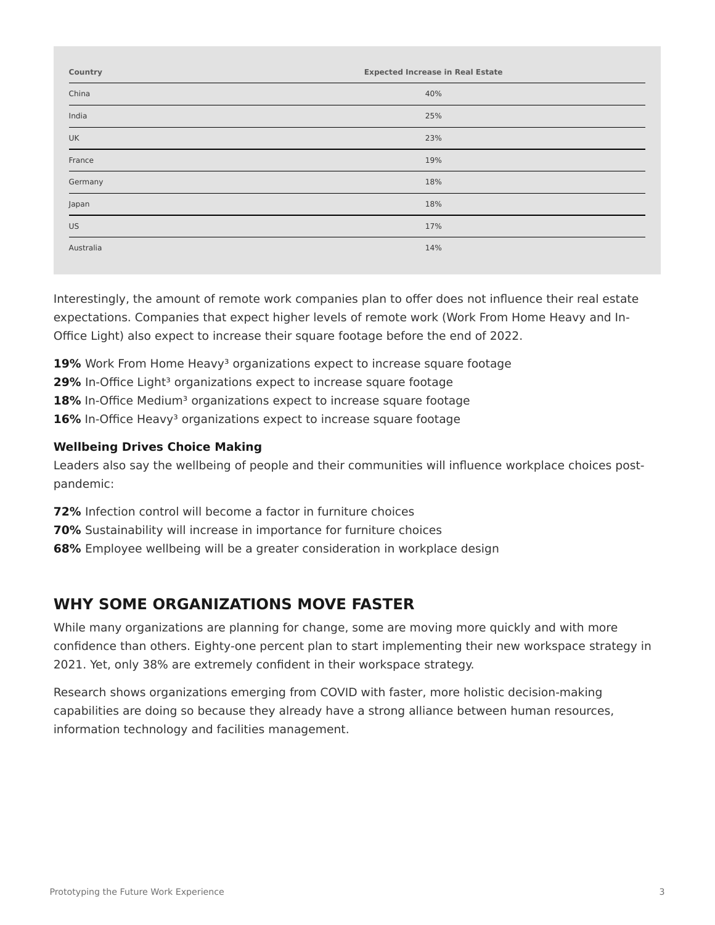| Country   | <b>Expected Increase in Real Estate</b> |
|-----------|-----------------------------------------|
| China     | 40%                                     |
| India     | 25%                                     |
| <b>UK</b> | 23%                                     |
| France    | 19%                                     |
| Germany   | 18%                                     |
| Japan     | 18%                                     |
| <b>US</b> | 17%                                     |
| Australia | 14%                                     |

Interestingly, the amount of remote work companies plan to offer does not influence their real estate expectations. Companies that expect higher levels of remote work (Work From Home Heavy and In-Office Light) also expect to increase their square footage before the end of 2022.

**19%** Work From Home Heavy<sup>3</sup> organizations expect to increase square footage

**29%** In-Office Light<sup>3</sup> organizations expect to increase square footage

**18%** In-Office Medium<sup>3</sup> organizations expect to increase square footage

**16%** In-Office Heavy<sup>3</sup> organizations expect to increase square footage

### **Wellbeing Drives Choice Making**

Leaders also say the wellbeing of people and their communities will influence workplace choices postpandemic:

**72%** Infection control will become a factor in furniture choices

**70%** Sustainability will increase in importance for furniture choices

**68%** Employee wellbeing will be a greater consideration in workplace design

# **WHY SOME ORGANIZATIONS MOVE FASTER**

While many organizations are planning for change, some are moving more quickly and with more confidence than others. Eighty-one percent plan to start implementing their new workspace strategy in 2021. Yet, only 38% are extremely confident in their workspace strategy.

Research shows organizations emerging from COVID with faster, more holistic decision-making capabilities are doing so because they already have a strong alliance between human resources, information technology and facilities management.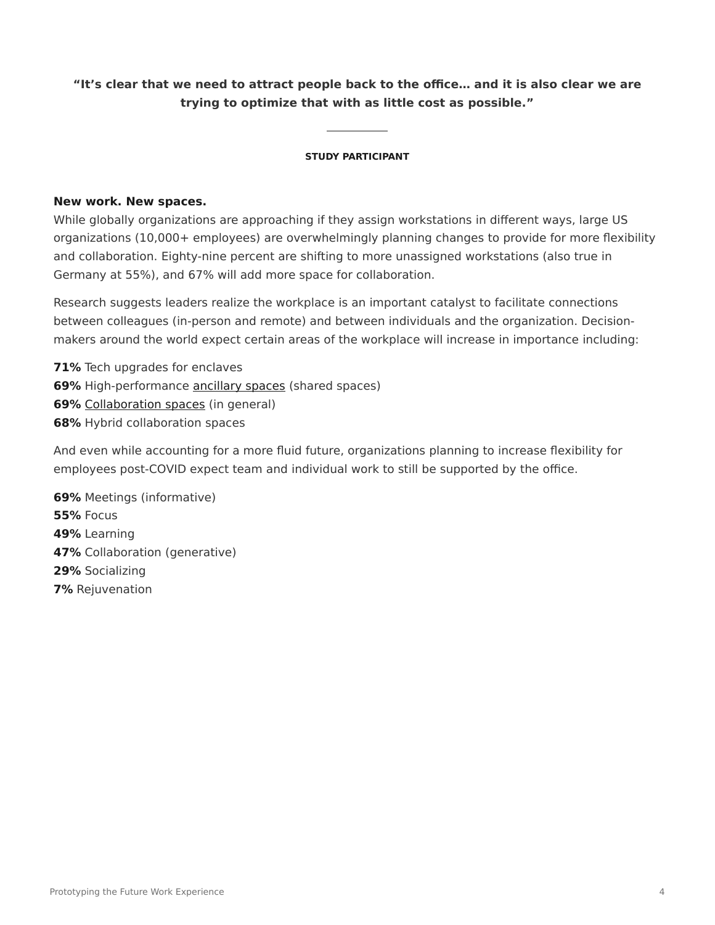### **"It's clear that we need to attract people back to the office… and it is also clear we are trying to optimize that with as little cost as possible."**

#### **STUDY PARTICIPANT**

### **New work. New spaces.**

While globally organizations are approaching if they assign workstations in different ways, large US organizations (10,000+ employees) are overwhelmingly planning changes to provide for more flexibility and collaboration. Eighty-nine percent are shifting to more unassigned workstations (also true in Germany at 55%), and 67% will add more space for collaboration.

Research suggests leaders realize the workplace is an important catalyst to facilitate connections between colleagues (in-person and remote) and between individuals and the organization. Decisionmakers around the world expect certain areas of the workplace will increase in importance including:

**71%** Tech upgrades for enclaves **69%** High-performance [ancillary spaces](https://www.steelcase.com/setting/workplace/ancillary-lounge/) (shared spaces) **69%** [Collaboration spaces](https://www.steelcase.com/spaces/work-better/collaboration-spaces/) (in general) **68%** Hybrid collaboration spaces

And even while accounting for a more fluid future, organizations planning to increase flexibility for employees post-COVID expect team and individual work to still be supported by the office.

**69%** Meetings (informative) **55%** Focus **49%** Learning **47%** Collaboration (generative) **29%** Socializing **7%** Rejuvenation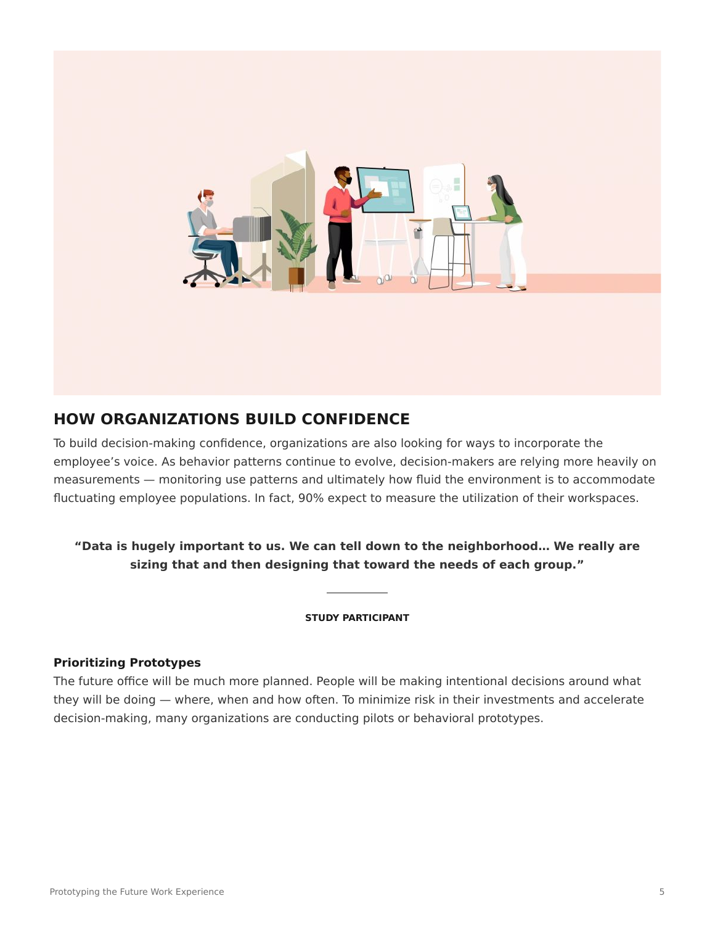

# **HOW ORGANIZATIONS BUILD CONFIDENCE**

To build decision-making confidence, organizations are also looking for ways to incorporate the employee's voice. As behavior patterns continue to evolve, decision-makers are relying more heavily on measurements — monitoring use patterns and ultimately how fluid the environment is to accommodate fluctuating employee populations. In fact, 90% expect to measure the utilization of their workspaces.

## **"Data is hugely important to us. We can tell down to the neighborhood… We really are sizing that and then designing that toward the needs of each group."**

#### **STUDY PARTICIPANT**

### **Prioritizing Prototypes**

The future office will be much more planned. People will be making intentional decisions around what they will be doing — where, when and how often. To minimize risk in their investments and accelerate decision-making, many organizations are conducting pilots or behavioral prototypes.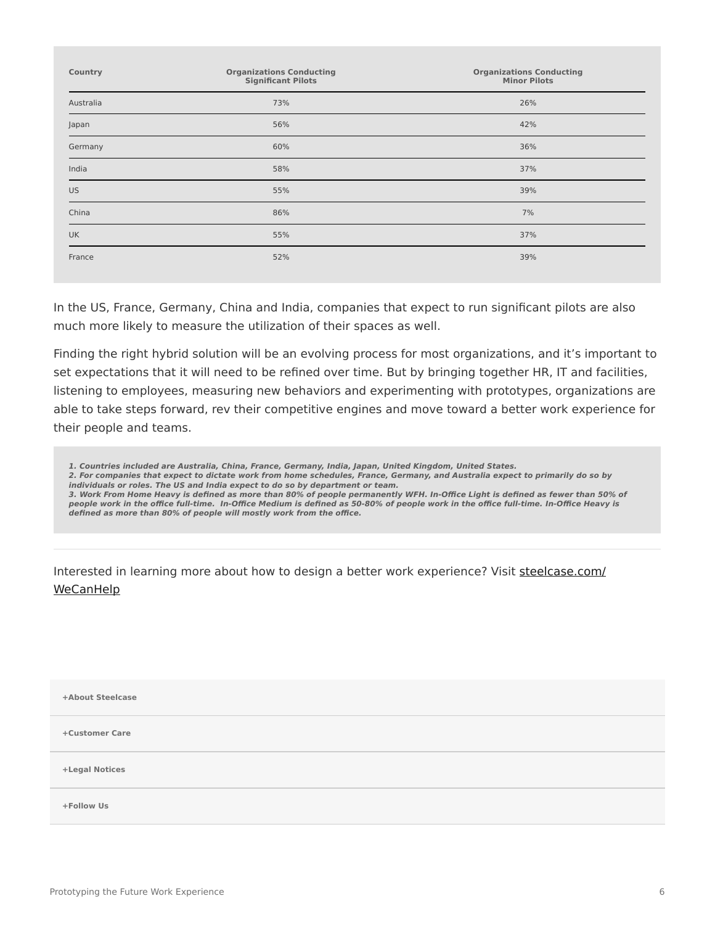| Country   | <b>Organizations Conducting</b><br><b>Significant Pilots</b> | <b>Organizations Conducting</b><br><b>Minor Pilots</b> |
|-----------|--------------------------------------------------------------|--------------------------------------------------------|
| Australia | 73%                                                          | 26%                                                    |
| Japan     | 56%                                                          | 42%                                                    |
| Germany   | 60%                                                          | 36%                                                    |
| India     | 58%                                                          | 37%                                                    |
| <b>US</b> | 55%                                                          | 39%                                                    |
| China     | 86%                                                          | 7%                                                     |
| <b>UK</b> | 55%                                                          | 37%                                                    |
| France    | 52%                                                          | 39%                                                    |
|           |                                                              |                                                        |

In the US, France, Germany, China and India, companies that expect to run significant pilots are also much more likely to measure the utilization of their spaces as well.

Finding the right hybrid solution will be an evolving process for most organizations, and it's important to set expectations that it will need to be refined over time. But by bringing together HR, IT and facilities, listening to employees, measuring new behaviors and experimenting with prototypes, organizations are able to take steps forward, rev their competitive engines and move toward a better work experience for their people and teams.

**1. Countries included are Australia, China, France, Germany, India, Japan, United Kingdom, United States. 2. For companies that expect to dictate work from home schedules, France, Germany, and Australia expect to primarily do so by individuals or roles. The US and India expect to do so by department or team. 3. Work From Home Heavy is defined as more than 80% of people permanently WFH. In-Office Light is defined as fewer than 50% of people work in the office full-time. In-Office Medium is defined as 50-80% of people work in the office full-time. In-Office Heavy is defined as more than 80% of people will mostly work from the office.**

Interested in learning more about how to design a better work experience? Visit [steelcase.com/](https://www.steelcase.com/WeCanHelp) **[WeCanHelp](https://www.steelcase.com/WeCanHelp)** 

| +About Steelcase |  |
|------------------|--|
| +Customer Care   |  |
| +Legal Notices   |  |
| +Follow Us       |  |